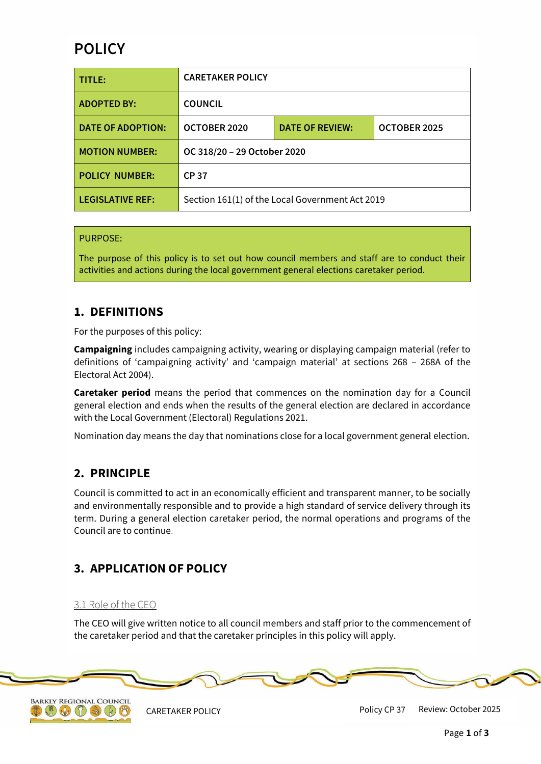# **POLICY**

| TITLE:                   | <b>CARETAKER POLICY</b>                         |                        |              |
|--------------------------|-------------------------------------------------|------------------------|--------------|
| <b>ADOPTED BY:</b>       | <b>COUNCIL</b>                                  |                        |              |
| <b>DATE OF ADOPTION:</b> | OCTOBER 2020                                    | <b>DATE OF REVIEW:</b> | OCTOBER 2025 |
| <b>MOTION NUMBER:</b>    | OC 318/20 - 29 October 2020                     |                        |              |
| <b>POLICY NUMBER:</b>    | <b>CP37</b>                                     |                        |              |
| <b>LEGISLATIVE REF:</b>  | Section 161(1) of the Local Government Act 2019 |                        |              |

#### PURPOSE:

The purpose of this policy is to set out how council members and staff are to conduct their activities and actions during the local government general elections caretaker period.

# **1. DEFINITIONS**

For the purposes of this policy:

**Campaigning** includes campaigning activity, wearing or displaying campaign material (refer to definitions of 'campaigning activity' and 'campaign material' at sections 268 – 268A of the Electoral Act 2004).

**Caretaker period** means the period that commences on the nomination day for a Council general election and ends when the results of the general election are declared in accordance with the Local Government (Electoral) Regulations 2021.

Nomination day means the day that nominations close for a local government general election.

# **2. PRINCIPLE**

Council is committed to act in an economically efficient and transparent manner, to be socially and environmentally responsible and to provide a high standard of service delivery through its term. During a general election caretaker period, the normal operations and programs of the Council are to continue.

# **3. APPLICATION OF POLICY**

#### 3.1 Role of the CEO

The CEO will give written notice to all council members and staff prior to the commencement of the caretaker period and that the caretaker principles in this policy will apply.





CARETAKER POLICY **POLICY** Policy CP 37 Review: October 2025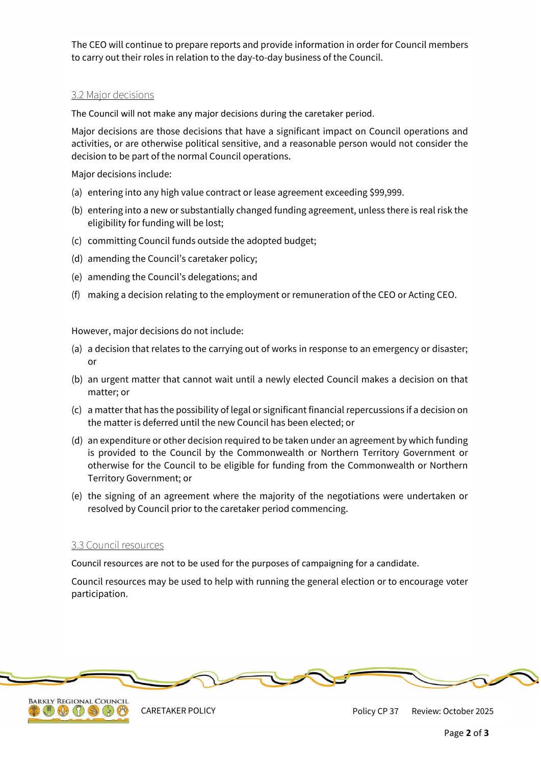The CEO will continue to prepare reports and provide information in order for Council members to carry out their roles in relation to the day-to-day business of the Council.

#### 3.2 Major decisions

The Council will not make any major decisions during the caretaker period.

Major decisions are those decisions that have a significant impact on Council operations and activities, or are otherwise political sensitive, and a reasonable person would not consider the decision to be part of the normal Council operations.

Major decisions include:

- (a) entering into any high value contract or lease agreement exceeding \$99,999.
- (b) entering into a new or substantially changed funding agreement, unless there is real risk the eligibility for funding will be lost;
- (c) committing Council funds outside the adopted budget;
- (d) amending the Council's caretaker policy;
- (e) amending the Council's delegations; and
- (f) making a decision relating to the employment or remuneration of the CEO or Acting CEO.

However, major decisions do not include:

- (a) a decision that relates to the carrying out of works in response to an emergency or disaster; or
- (b) an urgent matter that cannot wait until a newly elected Council makes a decision on that matter; or
- (c) a matter that has the possibility of legal or significant financial repercussions if a decision on the matter is deferred until the new Council has been elected; or
- (d) an expenditure or other decision required to be taken under an agreement by which funding is provided to the Council by the Commonwealth or Northern Territory Government or otherwise for the Council to be eligible for funding from the Commonwealth or Northern Territory Government; or
- (e) the signing of an agreement where the majority of the negotiations were undertaken or resolved by Council prior to the caretaker period commencing.

#### 3.3 Council resources

Council resources are not to be used for the purposes of campaigning for a candidate.

Council resources may be used to help with running the general election or to encourage voter participation.





CARETAKER POLICY Review: October 2025 Policy CP 37